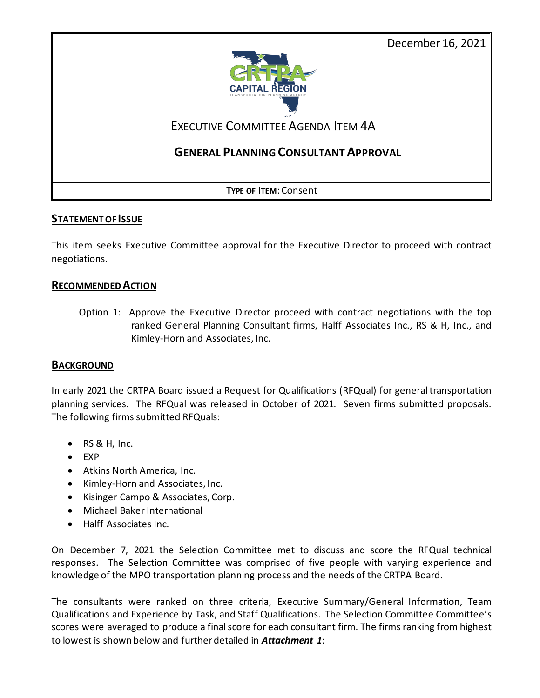December 16, 2021



## EXECUTIVE COMMITTEE AGENDA ITEM 4A

### **GENERAL PLANNING CONSULTANT APPROVAL**

**TYPE OF ITEM**: Consent

### **STATEMENT OF ISSUE**

This item seeks Executive Committee approval for the Executive Director to proceed with contract negotiations.

### **RECOMMENDED ACTION**

Option 1: Approve the Executive Director proceed with contract negotiations with the top ranked General Planning Consultant firms, Halff Associates Inc., RS & H, Inc., and Kimley-Horn and Associates, Inc.

### **BACKGROUND**

In early 2021 the CRTPA Board issued a Request for Qualifications (RFQual) for general transportation planning services. The RFQual was released in October of 2021. Seven firms submitted proposals. The following firms submitted RFQuals:

- $\bullet$  RS & H, Inc.
- EXP
- Atkins North America, Inc.
- Kimley-Horn and Associates, Inc.
- Kisinger Campo & Associates, Corp.
- Michael Baker International
- Halff Associates Inc.

On December 7, 2021 the Selection Committee met to discuss and score the RFQual technical responses. The Selection Committee was comprised of five people with varying experience and knowledge of the MPO transportation planning process and the needs of the CRTPA Board.

The consultants were ranked on three criteria, Executive Summary/General Information, Team Qualifications and Experience by Task, and Staff Qualifications. The Selection Committee Committee's scores were averaged to produce a final score for each consultant firm. The firms ranking from highest to lowest is shown below and further detailed in *Attachment 1*: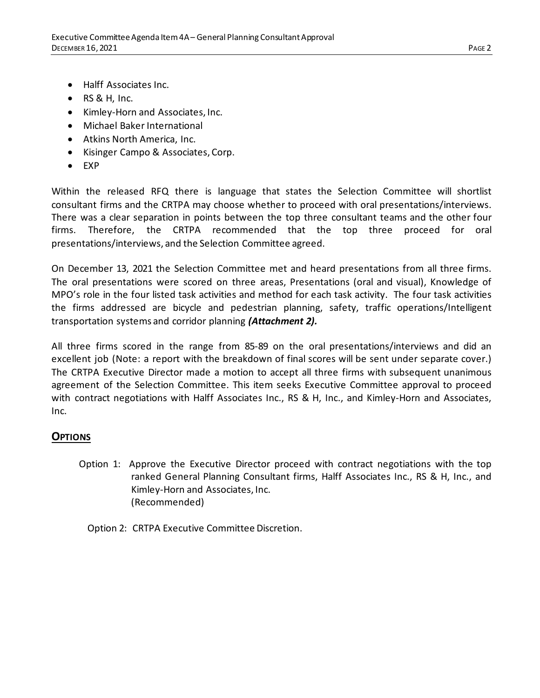- Halff Associates Inc.
- $\bullet$  RS & H, Inc.
- Kimley-Horn and Associates, Inc.
- Michael Baker International
- Atkins North America, Inc.
- Kisinger Campo & Associates, Corp.
- EXP

Within the released RFQ there is language that states the Selection Committee will shortlist consultant firms and the CRTPA may choose whether to proceed with oral presentations/interviews. There was a clear separation in points between the top three consultant teams and the other four firms. Therefore, the CRTPA recommended that the top three proceed for oral presentations/interviews, and the Selection Committee agreed.

On December 13, 2021 the Selection Committee met and heard presentations from all three firms. The oral presentations were scored on three areas, Presentations (oral and visual), Knowledge of MPO's role in the four listed task activities and method for each task activity. The four task activities the firms addressed are bicycle and pedestrian planning, safety, traffic operations/Intelligent transportation systems and corridor planning *(Attachment 2).*

All three firms scored in the range from 85-89 on the oral presentations/interviews and did an excellent job (Note: a report with the breakdown of final scores will be sent under separate cover.) The CRTPA Executive Director made a motion to accept all three firms with subsequent unanimous agreement of the Selection Committee. This item seeks Executive Committee approval to proceed with contract negotiations with Halff Associates Inc., RS & H, Inc., and Kimley-Horn and Associates, Inc.

### **OPTIONS**

- Option 1: Approve the Executive Director proceed with contract negotiations with the top ranked General Planning Consultant firms, Halff Associates Inc., RS & H, Inc., and Kimley-Horn and Associates, Inc. (Recommended)
	- Option 2: CRTPA Executive Committee Discretion.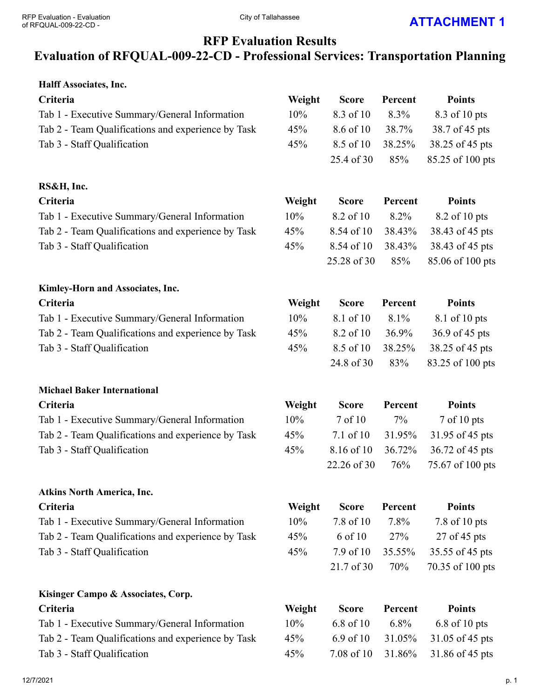# **RFP Evaluation Results**

## **Evaluation of RFQUAL-009-22-CD - Professional Services: Transportation Planning**

| Halff Associates, Inc.                             |        |              |         |                  |
|----------------------------------------------------|--------|--------------|---------|------------------|
| Criteria                                           | Weight | <b>Score</b> | Percent | <b>Points</b>    |
| Tab 1 - Executive Summary/General Information      | 10%    | 8.3 of 10    | 8.3%    | 8.3 of 10 pts    |
| Tab 2 - Team Qualifications and experience by Task | 45%    | 8.6 of 10    | 38.7%   | 38.7 of 45 pts   |
| Tab 3 - Staff Qualification                        | 45%    | 8.5 of 10    | 38.25%  | 38.25 of 45 pts  |
|                                                    |        | 25.4 of 30   | 85%     | 85.25 of 100 pts |
| RS&H, Inc.                                         |        |              |         |                  |
| Criteria                                           | Weight | <b>Score</b> | Percent | <b>Points</b>    |
| Tab 1 - Executive Summary/General Information      | 10%    | 8.2 of 10    | 8.2%    | 8.2 of 10 pts    |
| Tab 2 - Team Qualifications and experience by Task | 45%    | 8.54 of 10   | 38.43%  | 38.43 of 45 pts  |
| Tab 3 - Staff Qualification                        | 45%    | 8.54 of 10   | 38.43%  | 38.43 of 45 pts  |
|                                                    |        | 25.28 of 30  | 85%     | 85.06 of 100 pts |
| Kimley-Horn and Associates, Inc.                   |        |              |         |                  |
| Criteria                                           | Weight | <b>Score</b> | Percent | <b>Points</b>    |
| Tab 1 - Executive Summary/General Information      | 10%    | 8.1 of 10    | 8.1%    | 8.1 of 10 pts    |
| Tab 2 - Team Qualifications and experience by Task | 45%    | 8.2 of 10    | 36.9%   | 36.9 of 45 pts   |
| Tab 3 - Staff Qualification                        | 45%    | 8.5 of 10    | 38.25%  | 38.25 of 45 pts  |
|                                                    |        | 24.8 of 30   | 83%     | 83.25 of 100 pts |
| <b>Michael Baker International</b>                 |        |              |         |                  |
| Criteria                                           | Weight | <b>Score</b> | Percent | <b>Points</b>    |
| Tab 1 - Executive Summary/General Information      | 10%    | 7 of 10      | 7%      | 7 of 10 pts      |
| Tab 2 - Team Qualifications and experience by Task | 45%    | 7.1 of 10    | 31.95%  | 31.95 of 45 pts  |
| Tab 3 - Staff Qualification                        | 45%    | 8.16 of 10   | 36.72%  | 36.72 of 45 pts  |
|                                                    |        | 22.26 of 30  | 76%     | 75.67 of 100 pts |
| <b>Atkins North America, Inc.</b>                  |        |              |         |                  |
| Criteria                                           | Weight | <b>Score</b> | Percent | <b>Points</b>    |
| Tab 1 - Executive Summary/General Information      | 10%    | 7.8 of 10    | 7.8%    | 7.8 of 10 pts    |
| Tab 2 - Team Qualifications and experience by Task | 45%    | 6 of 10      | 27%     | 27 of 45 pts     |
| Tab 3 - Staff Qualification                        | 45%    | 7.9 of 10    | 35.55%  | 35.55 of 45 pts  |
|                                                    |        | 21.7 of 30   | 70%     | 70.35 of 100 pts |
| Kisinger Campo & Associates, Corp.                 |        |              |         |                  |
| Criteria                                           | Weight | <b>Score</b> | Percent | <b>Points</b>    |
| Tab 1 - Executive Summary/General Information      | 10%    | 6.8 of 10    | 6.8%    | 6.8 of 10 pts    |
| Tab 2 - Team Qualifications and experience by Task | 45%    | 6.9 of 10    | 31.05%  | 31.05 of 45 pts  |
| Tab 3 - Staff Qualification                        | 45%    | 7.08 of 10   | 31.86%  | 31.86 of 45 pts  |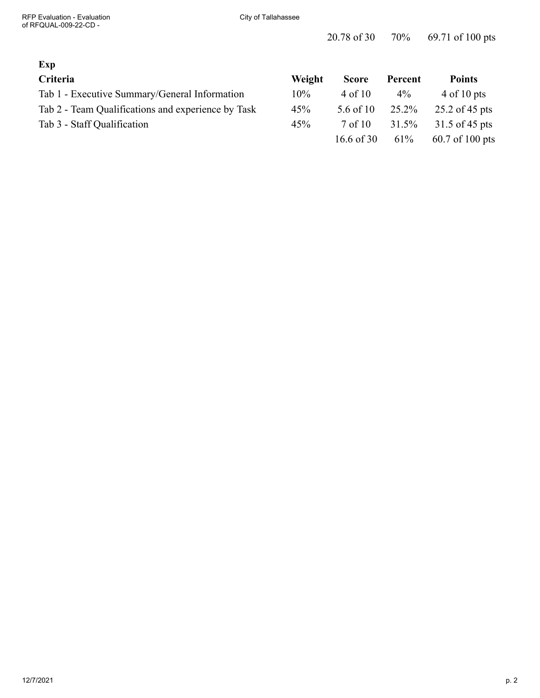### **Exp**

| Criteria                                           | <b>Weight</b> | <b>Score</b>       | Percent | <b>Points</b>    |
|----------------------------------------------------|---------------|--------------------|---------|------------------|
| Tab 1 - Executive Summary/General Information      | $10\%$        | 4 of 10            | $4\%$   | $4$ of 10 pts    |
| Tab 2 - Team Qualifications and experience by Task | 45%           | 5.6 of 10 $25.2\%$ |         | $25.2$ of 45 pts |
| Tab 3 - Staff Qualification                        | 45%           | 7 of 10            | 31.5%   | 31.5 of 45 pts   |
|                                                    |               | 16.6 of 30         | 61%     | 60.7 of 100 pts  |